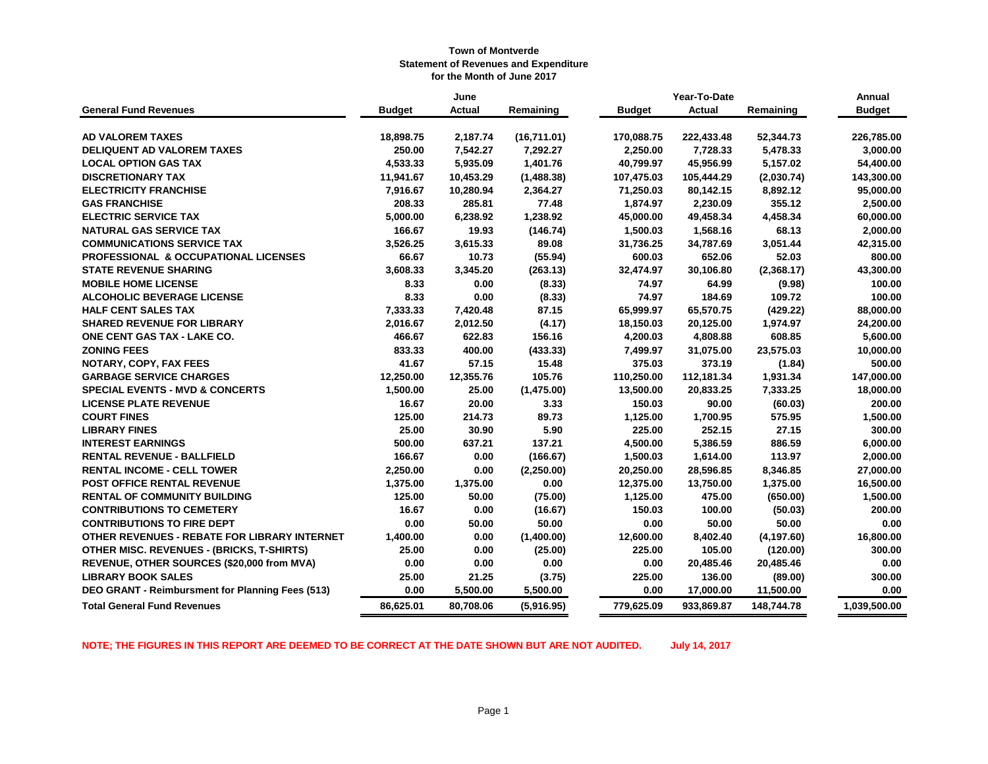|                                                  |               | June      |             |               | Year-To-Date  |             | Annual        |
|--------------------------------------------------|---------------|-----------|-------------|---------------|---------------|-------------|---------------|
| <b>General Fund Revenues</b>                     | <b>Budget</b> | Actual    | Remaining   | <b>Budget</b> | <b>Actual</b> | Remaining   | <b>Budget</b> |
| <b>AD VALOREM TAXES</b>                          | 18,898.75     | 2,187.74  | (16,711.01) | 170,088.75    | 222,433.48    | 52,344.73   | 226,785.00    |
| <b>DELIQUENT AD VALOREM TAXES</b>                | 250.00        | 7,542.27  | 7,292.27    | 2,250.00      | 7,728.33      | 5,478.33    | 3,000.00      |
| <b>LOCAL OPTION GAS TAX</b>                      | 4,533.33      | 5,935.09  | 1,401.76    | 40,799.97     | 45,956.99     | 5,157.02    | 54,400.00     |
| <b>DISCRETIONARY TAX</b>                         | 11,941.67     | 10,453.29 | (1,488.38)  | 107,475.03    | 105,444.29    | (2,030.74)  | 143,300.00    |
| <b>ELECTRICITY FRANCHISE</b>                     | 7,916.67      | 10,280.94 | 2,364.27    | 71,250.03     | 80,142.15     | 8,892.12    | 95,000.00     |
| <b>GAS FRANCHISE</b>                             | 208.33        | 285.81    | 77.48       | 1,874.97      | 2,230.09      | 355.12      | 2,500.00      |
| <b>ELECTRIC SERVICE TAX</b>                      | 5,000.00      | 6,238.92  | 1,238.92    | 45,000.00     | 49,458.34     | 4,458.34    | 60,000.00     |
| <b>NATURAL GAS SERVICE TAX</b>                   | 166.67        | 19.93     | (146.74)    | 1,500.03      | 1,568.16      | 68.13       | 2,000.00      |
| <b>COMMUNICATIONS SERVICE TAX</b>                | 3,526.25      | 3,615.33  | 89.08       | 31,736.25     | 34,787.69     | 3,051.44    | 42,315.00     |
| <b>PROFESSIONAL &amp; OCCUPATIONAL LICENSES</b>  | 66.67         | 10.73     | (55.94)     | 600.03        | 652.06        | 52.03       | 800.00        |
| <b>STATE REVENUE SHARING</b>                     | 3,608.33      | 3,345.20  | (263.13)    | 32,474.97     | 30,106.80     | (2,368.17)  | 43,300.00     |
| <b>MOBILE HOME LICENSE</b>                       | 8.33          | 0.00      | (8.33)      | 74.97         | 64.99         | (9.98)      | 100.00        |
| <b>ALCOHOLIC BEVERAGE LICENSE</b>                | 8.33          | 0.00      | (8.33)      | 74.97         | 184.69        | 109.72      | 100.00        |
| <b>HALF CENT SALES TAX</b>                       | 7,333.33      | 7,420.48  | 87.15       | 65,999.97     | 65,570.75     | (429.22)    | 88,000.00     |
| <b>SHARED REVENUE FOR LIBRARY</b>                | 2,016.67      | 2,012.50  | (4.17)      | 18,150.03     | 20,125.00     | 1,974.97    | 24,200.00     |
| ONE CENT GAS TAX - LAKE CO.                      | 466.67        | 622.83    | 156.16      | 4,200.03      | 4,808.88      | 608.85      | 5,600.00      |
| <b>ZONING FEES</b>                               | 833.33        | 400.00    | (433.33)    | 7,499.97      | 31,075.00     | 23,575.03   | 10,000.00     |
| <b>NOTARY, COPY, FAX FEES</b>                    | 41.67         | 57.15     | 15.48       | 375.03        | 373.19        | (1.84)      | 500.00        |
| <b>GARBAGE SERVICE CHARGES</b>                   | 12,250.00     | 12,355.76 | 105.76      | 110,250.00    | 112,181.34    | 1,931.34    | 147,000.00    |
| <b>SPECIAL EVENTS - MVD &amp; CONCERTS</b>       | 1,500.00      | 25.00     | (1,475.00)  | 13,500.00     | 20,833.25     | 7,333.25    | 18,000.00     |
| <b>LICENSE PLATE REVENUE</b>                     | 16.67         | 20.00     | 3.33        | 150.03        | 90.00         | (60.03)     | 200.00        |
| <b>COURT FINES</b>                               | 125.00        | 214.73    | 89.73       | 1,125.00      | 1,700.95      | 575.95      | 1,500.00      |
| <b>LIBRARY FINES</b>                             | 25.00         | 30.90     | 5.90        | 225.00        | 252.15        | 27.15       | 300.00        |
| <b>INTEREST EARNINGS</b>                         | 500.00        | 637.21    | 137.21      | 4,500.00      | 5,386.59      | 886.59      | 6,000.00      |
| <b>RENTAL REVENUE - BALLFIELD</b>                | 166.67        | 0.00      | (166.67)    | 1,500.03      | 1,614.00      | 113.97      | 2,000.00      |
| <b>RENTAL INCOME - CELL TOWER</b>                | 2,250.00      | 0.00      | (2,250.00)  | 20,250.00     | 28,596.85     | 8,346.85    | 27,000.00     |
| POST OFFICE RENTAL REVENUE                       | 1,375.00      | 1,375.00  | 0.00        | 12,375.00     | 13,750.00     | 1,375.00    | 16,500.00     |
| <b>RENTAL OF COMMUNITY BUILDING</b>              | 125.00        | 50.00     | (75.00)     | 1,125.00      | 475.00        | (650.00)    | 1,500.00      |
| <b>CONTRIBUTIONS TO CEMETERY</b>                 | 16.67         | 0.00      | (16.67)     | 150.03        | 100.00        | (50.03)     | 200.00        |
| <b>CONTRIBUTIONS TO FIRE DEPT</b>                | 0.00          | 50.00     | 50.00       | 0.00          | 50.00         | 50.00       | 0.00          |
| OTHER REVENUES - REBATE FOR LIBRARY INTERNET     | 1,400.00      | 0.00      | (1,400.00)  | 12,600.00     | 8,402.40      | (4, 197.60) | 16,800.00     |
| <b>OTHER MISC. REVENUES - (BRICKS, T-SHIRTS)</b> | 25.00         | 0.00      | (25.00)     | 225.00        | 105.00        | (120.00)    | 300.00        |
| REVENUE, OTHER SOURCES (\$20,000 from MVA)       | 0.00          | 0.00      | 0.00        | 0.00          | 20,485.46     | 20,485.46   | 0.00          |
| <b>LIBRARY BOOK SALES</b>                        | 25.00         | 21.25     | (3.75)      | 225.00        | 136.00        | (89.00)     | 300.00        |
| DEO GRANT - Reimbursment for Planning Fees (513) | 0.00          | 5,500.00  | 5,500.00    | 0.00          | 17,000.00     | 11,500.00   | 0.00          |
| <b>Total General Fund Revenues</b>               | 86,625.01     | 80,708.06 | (5,916.95)  | 779,625.09    | 933,869.87    | 148,744.78  | 1,039,500.00  |

**NOTE; THE FIGURES IN THIS REPORT ARE DEEMED TO BE CORRECT AT THE DATE SHOWN BUT ARE NOT AUDITED. July 14, 2017**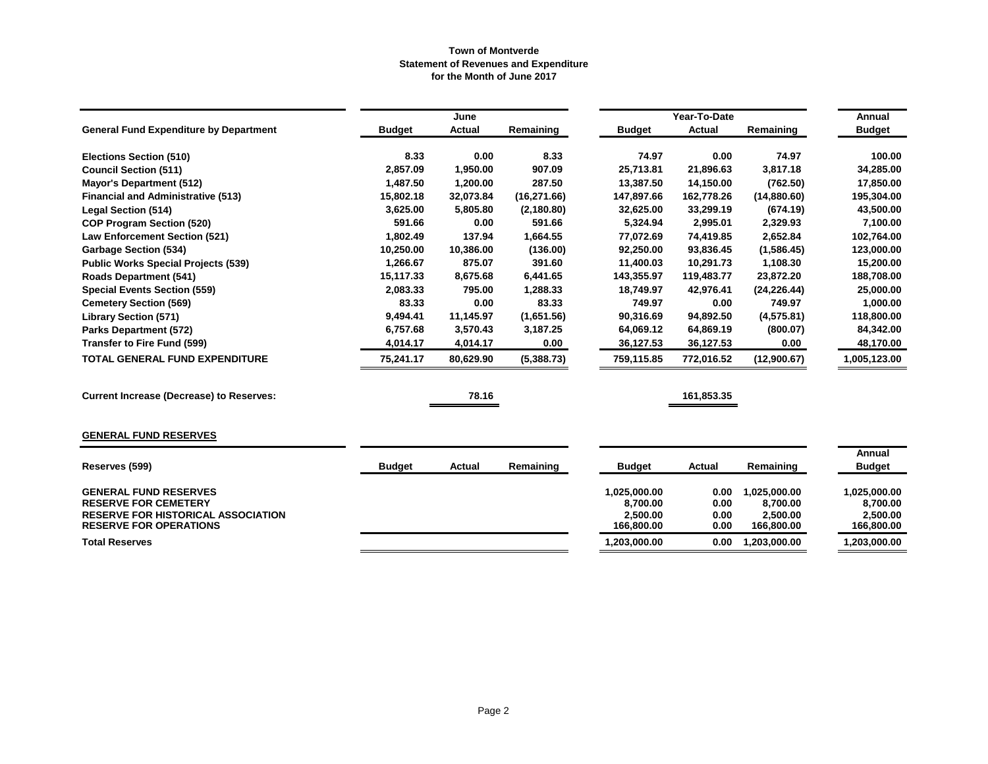|                                                                                                                                           |               | June          |              |                                                    | Year-To-Date                 |                                                    | Annual                                             |
|-------------------------------------------------------------------------------------------------------------------------------------------|---------------|---------------|--------------|----------------------------------------------------|------------------------------|----------------------------------------------------|----------------------------------------------------|
| <b>General Fund Expenditure by Department</b>                                                                                             | <b>Budget</b> | <b>Actual</b> | Remaining    | <b>Budget</b>                                      | <b>Actual</b>                | Remaining                                          | <b>Budget</b>                                      |
| <b>Elections Section (510)</b>                                                                                                            | 8.33          | 0.00          | 8.33         | 74.97                                              | 0.00                         | 74.97                                              | 100.00                                             |
| <b>Council Section (511)</b>                                                                                                              | 2,857.09      | 1,950.00      | 907.09       | 25,713.81                                          | 21,896.63                    | 3,817.18                                           | 34,285.00                                          |
| <b>Mayor's Department (512)</b>                                                                                                           | 1,487.50      | 1,200.00      | 287.50       | 13,387.50                                          | 14,150.00                    | (762.50)                                           | 17,850.00                                          |
| <b>Financial and Administrative (513)</b>                                                                                                 | 15,802.18     | 32,073.84     | (16, 271.66) | 147,897.66                                         | 162,778.26                   | (14,880.60)                                        | 195,304.00                                         |
| <b>Legal Section (514)</b>                                                                                                                | 3,625.00      | 5,805.80      | (2, 180.80)  | 32,625.00                                          | 33,299.19                    | (674.19)                                           | 43,500.00                                          |
| <b>COP Program Section (520)</b>                                                                                                          | 591.66        | 0.00          | 591.66       | 5,324.94                                           | 2,995.01                     | 2,329.93                                           | 7,100.00                                           |
| <b>Law Enforcement Section (521)</b>                                                                                                      | 1,802.49      | 137.94        | 1,664.55     | 77,072.69                                          | 74,419.85                    | 2,652.84                                           | 102,764.00                                         |
| <b>Garbage Section (534)</b>                                                                                                              | 10,250.00     | 10,386.00     | (136.00)     | 92,250.00                                          | 93,836.45                    | (1,586.45)                                         | 123,000.00                                         |
| <b>Public Works Special Projects (539)</b>                                                                                                | 1,266.67      | 875.07        | 391.60       | 11,400.03                                          | 10,291.73                    | 1,108.30                                           | 15,200.00                                          |
| <b>Roads Department (541)</b>                                                                                                             | 15,117.33     | 8,675.68      | 6,441.65     | 143,355.97                                         | 119,483.77                   | 23,872.20                                          | 188,708.00                                         |
| <b>Special Events Section (559)</b>                                                                                                       | 2,083.33      | 795.00        | 1,288.33     | 18,749.97                                          | 42,976.41                    | (24, 226.44)                                       | 25,000.00                                          |
| <b>Cemetery Section (569)</b>                                                                                                             | 83.33         | 0.00          | 83.33        | 749.97                                             | 0.00                         | 749.97                                             | 1,000.00                                           |
| <b>Library Section (571)</b>                                                                                                              | 9,494.41      | 11,145.97     | (1,651.56)   | 90,316.69                                          | 94,892.50                    | (4,575.81)                                         | 118,800.00                                         |
| <b>Parks Department (572)</b>                                                                                                             | 6,757.68      | 3,570.43      | 3,187.25     | 64,069.12                                          | 64,869.19                    | (800.07)                                           | 84,342.00                                          |
| <b>Transfer to Fire Fund (599)</b>                                                                                                        | 4,014.17      | 4,014.17      | 0.00         | 36,127.53                                          | 36,127.53                    | 0.00                                               | 48,170.00                                          |
| TOTAL GENERAL FUND EXPENDITURE                                                                                                            | 75,241.17     | 80,629.90     | (5,388.73)   | 759,115.85                                         | 772,016.52                   | (12,900.67)                                        | 1,005,123.00                                       |
| <b>Current Increase (Decrease) to Reserves:</b>                                                                                           |               | 78.16         |              |                                                    | 161,853.35                   |                                                    |                                                    |
| <b>GENERAL FUND RESERVES</b>                                                                                                              |               |               |              |                                                    |                              |                                                    |                                                    |
|                                                                                                                                           |               |               |              |                                                    |                              |                                                    | Annual                                             |
| Reserves (599)                                                                                                                            | <b>Budget</b> | Actual        | Remaining    | <b>Budget</b>                                      | Actual                       | Remaining                                          | <b>Budget</b>                                      |
| <b>GENERAL FUND RESERVES</b><br><b>RESERVE FOR CEMETERY</b><br><b>RESERVE FOR HISTORICAL ASSOCIATION</b><br><b>RESERVE FOR OPERATIONS</b> |               |               |              | 1,025,000.00<br>8,700.00<br>2,500.00<br>166,800.00 | 0.00<br>0.00<br>0.00<br>0.00 | 1,025,000.00<br>8,700.00<br>2,500.00<br>166,800.00 | 1,025,000.00<br>8,700.00<br>2,500.00<br>166,800.00 |
| <b>Total Reserves</b>                                                                                                                     |               |               |              | 1,203,000.00                                       | 0.00                         | 1,203,000.00                                       | 1,203,000.00                                       |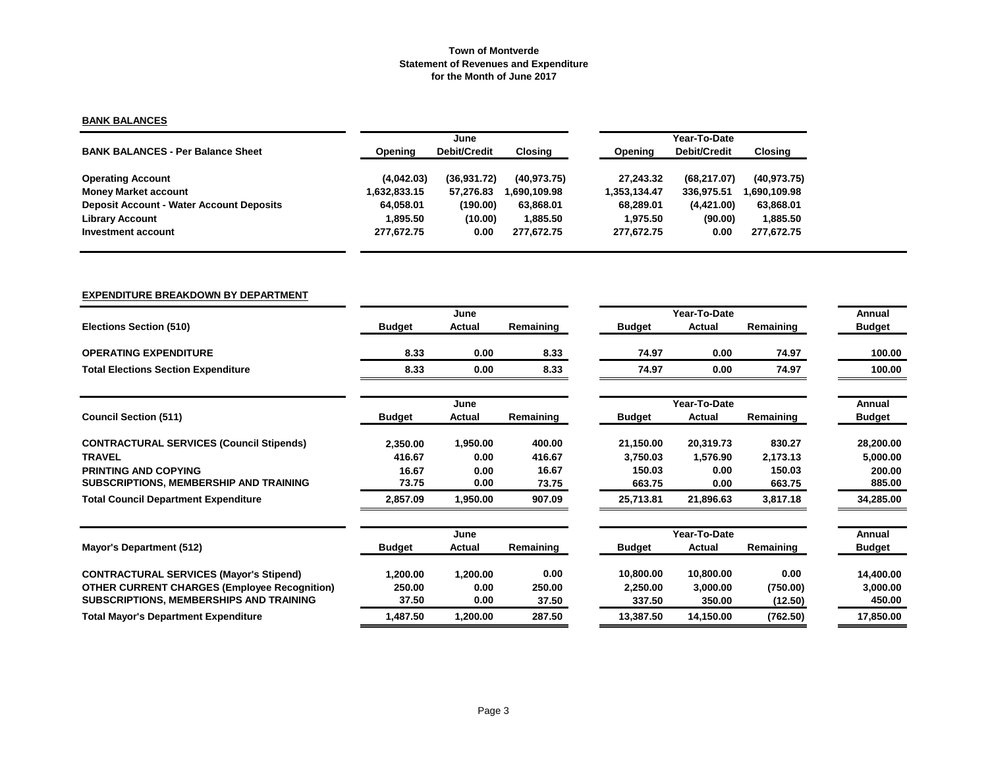## **BANK BALANCES**

|                                                 |              | June                |              |              | Year-To-Date |                |  |  |  |
|-------------------------------------------------|--------------|---------------------|--------------|--------------|--------------|----------------|--|--|--|
| <b>BANK BALANCES - Per Balance Sheet</b>        | Opening      | <b>Debit/Credit</b> | Closing      | Opening      | Debit/Credit | <b>Closing</b> |  |  |  |
| <b>Operating Account</b>                        | (4,042.03)   | (36,931.72)         | (40, 973.75) | 27.243.32    | (68, 217.07) | (40.973.75)    |  |  |  |
| <b>Money Market account</b>                     | 1,632,833.15 | 57,276.83           | .690.109.98  | 1.353.134.47 | 336.975.51   | .690,109.98    |  |  |  |
| <b>Deposit Account - Water Account Deposits</b> | 64.058.01    | (190.00)            | 63,868.01    | 68.289.01    | (4, 421.00)  | 63,868.01      |  |  |  |
| <b>Library Account</b>                          | 1.895.50     | (10.00)             | 1.885.50     | 1.975.50     | (90.00)      | 1,885.50       |  |  |  |
| Investment account                              | 277.672.75   | 0.00                | 277.672.75   | 277,672.75   | 0.00         | 277,672.75     |  |  |  |

## **EXPENDITURE BREAKDOWN BY DEPARTMENT**

|                                                     |               | June     |           |               | Year-To-Date  |           | Annual        |
|-----------------------------------------------------|---------------|----------|-----------|---------------|---------------|-----------|---------------|
| <b>Elections Section (510)</b>                      | <b>Budget</b> | Actual   | Remaining | <b>Budget</b> | Actual        | Remaining | <b>Budget</b> |
| <b>OPERATING EXPENDITURE</b>                        | 8.33          | 0.00     | 8.33      | 74.97         | 0.00          | 74.97     | 100.00        |
| <b>Total Elections Section Expenditure</b>          | 8.33          | 0.00     | 8.33      | 74.97         | 0.00          | 74.97     | 100.00        |
|                                                     |               | June     |           |               | Year-To-Date  |           | Annual        |
| <b>Council Section (511)</b>                        | <b>Budget</b> | Actual   | Remaining | <b>Budget</b> | <b>Actual</b> | Remaining | <b>Budget</b> |
| <b>CONTRACTURAL SERVICES (Council Stipends)</b>     | 2,350.00      | 1,950.00 | 400.00    | 21,150.00     | 20,319.73     | 830.27    | 28,200.00     |
| <b>TRAVEL</b>                                       | 416.67        | 0.00     | 416.67    | 3,750.03      | 1,576.90      | 2,173.13  | 5,000.00      |
| <b>PRINTING AND COPYING</b>                         | 16.67         | 0.00     | 16.67     | 150.03        | 0.00          | 150.03    | 200.00        |
| SUBSCRIPTIONS, MEMBERSHIP AND TRAINING              | 73.75         | 0.00     | 73.75     | 663.75        | 0.00          | 663.75    | 885.00        |
| <b>Total Council Department Expenditure</b>         | 2,857.09      | 1,950.00 | 907.09    | 25,713.81     | 21,896.63     | 3,817.18  | 34,285.00     |
|                                                     |               | June     |           |               | Year-To-Date  |           | Annual        |
| Mayor's Department (512)                            | <b>Budget</b> | Actual   | Remaining | <b>Budget</b> | Actual        | Remaining | <b>Budget</b> |
| <b>CONTRACTURAL SERVICES (Mayor's Stipend)</b>      | 1,200.00      | 1,200.00 | 0.00      | 10,800.00     | 10,800.00     | 0.00      | 14,400.00     |
| <b>OTHER CURRENT CHARGES (Employee Recognition)</b> | 250.00        | 0.00     | 250.00    | 2,250.00      | 3,000.00      | (750.00)  | 3,000.00      |
| <b>SUBSCRIPTIONS, MEMBERSHIPS AND TRAINING</b>      | 37.50         | 0.00     | 37.50     | 337.50        | 350.00        | (12.50)   | 450.00        |
| <b>Total Mayor's Department Expenditure</b>         | 1,487.50      | 1,200.00 | 287.50    | 13,387.50     | 14,150.00     | (762.50)  | 17,850.00     |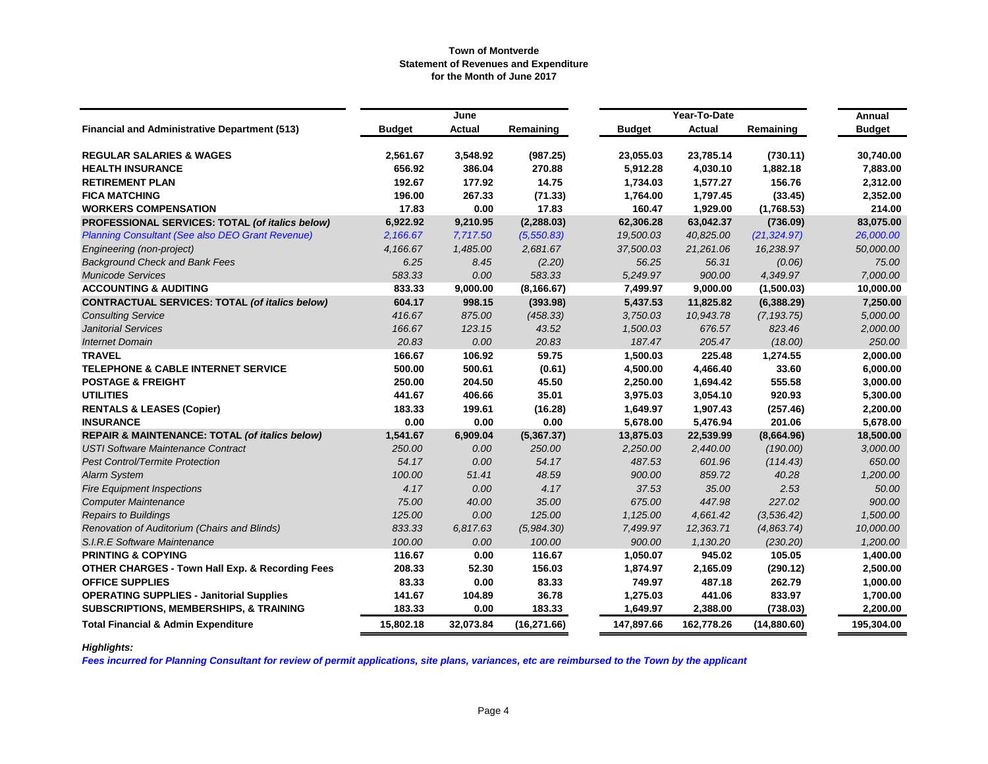|                                                            |               | June          |              |               | Year-To-Date  |              | Annual        |
|------------------------------------------------------------|---------------|---------------|--------------|---------------|---------------|--------------|---------------|
| <b>Financial and Administrative Department (513)</b>       | <b>Budget</b> | <b>Actual</b> | Remaining    | <b>Budget</b> | <b>Actual</b> | Remaining    | <b>Budget</b> |
| <b>REGULAR SALARIES &amp; WAGES</b>                        | 2,561.67      | 3,548.92      | (987.25)     | 23,055.03     | 23,785.14     | (730.11)     | 30,740.00     |
| <b>HEALTH INSURANCE</b>                                    | 656.92        | 386.04        | 270.88       | 5,912.28      | 4,030.10      | 1,882.18     | 7,883.00      |
| <b>RETIREMENT PLAN</b>                                     | 192.67        | 177.92        | 14.75        | 1,734.03      | 1,577.27      | 156.76       | 2,312.00      |
| <b>FICA MATCHING</b>                                       | 196.00        | 267.33        | (71.33)      | 1,764.00      | 1,797.45      | (33.45)      | 2,352.00      |
| <b>WORKERS COMPENSATION</b>                                | 17.83         | 0.00          | 17.83        | 160.47        | 1,929.00      | (1,768.53)   | 214.00        |
| PROFESSIONAL SERVICES: TOTAL (of italics below)            | 6,922.92      | 9,210.95      | (2, 288.03)  | 62,306.28     | 63,042.37     | (736.09)     | 83,075.00     |
| <b>Planning Consultant (See also DEO Grant Revenue)</b>    | 2,166.67      | 7,717.50      | (5,550.83)   | 19,500.03     | 40,825.00     | (21, 324.97) | 26,000.00     |
| Engineering (non-project)                                  | 4.166.67      | 1,485.00      | 2,681.67     | 37,500.03     | 21,261.06     | 16,238.97    | 50,000.00     |
| <b>Background Check and Bank Fees</b>                      | 6.25          | 8.45          | (2.20)       | 56.25         | 56.31         | (0.06)       | 75.00         |
| <b>Municode Services</b>                                   | 583.33        | 0.00          | 583.33       | 5,249.97      | 900.00        | 4,349.97     | 7,000.00      |
| <b>ACCOUNTING &amp; AUDITING</b>                           | 833.33        | 9,000.00      | (8, 166.67)  | 7,499.97      | 9,000.00      | (1,500.03)   | 10,000.00     |
| <b>CONTRACTUAL SERVICES: TOTAL (of italics below)</b>      | 604.17        | 998.15        | (393.98)     | 5,437.53      | 11,825.82     | (6,388.29)   | 7,250.00      |
| <b>Consulting Service</b>                                  | 416.67        | 875.00        | (458.33)     | 3,750.03      | 10,943.78     | (7, 193.75)  | 5,000.00      |
| <b>Janitorial Services</b>                                 | 166.67        | 123.15        | 43.52        | 1,500.03      | 676.57        | 823.46       | 2,000.00      |
| <b>Internet Domain</b>                                     | 20.83         | 0.00          | 20.83        | 187.47        | 205.47        | (18.00)      | 250.00        |
| <b>TRAVEL</b>                                              | 166.67        | 106.92        | 59.75        | 1,500.03      | 225.48        | 1,274.55     | 2,000.00      |
| TELEPHONE & CABLE INTERNET SERVICE                         | 500.00        | 500.61        | (0.61)       | 4,500.00      | 4,466.40      | 33.60        | 6,000.00      |
| <b>POSTAGE &amp; FREIGHT</b>                               | 250.00        | 204.50        | 45.50        | 2,250.00      | 1,694.42      | 555.58       | 3,000.00      |
| <b>UTILITIES</b>                                           | 441.67        | 406.66        | 35.01        | 3,975.03      | 3,054.10      | 920.93       | 5,300.00      |
| <b>RENTALS &amp; LEASES (Copier)</b>                       | 183.33        | 199.61        | (16.28)      | 1,649.97      | 1,907.43      | (257.46)     | 2,200.00      |
| <b>INSURANCE</b>                                           | 0.00          | 0.00          | 0.00         | 5,678.00      | 5,476.94      | 201.06       | 5,678.00      |
| <b>REPAIR &amp; MAINTENANCE: TOTAL (of italics below)</b>  | 1,541.67      | 6,909.04      | (5,367.37)   | 13,875.03     | 22,539.99     | (8,664.96)   | 18,500.00     |
| <b>USTI Software Maintenance Contract</b>                  | 250.00        | 0.00          | 250.00       | 2,250.00      | 2,440.00      | (190.00)     | 3,000.00      |
| <b>Pest Control/Termite Protection</b>                     | 54.17         | 0.00          | 54.17        | 487.53        | 601.96        | (114.43)     | 650.00        |
| <b>Alarm System</b>                                        | 100.00        | 51.41         | 48.59        | 900.00        | 859.72        | 40.28        | 1,200.00      |
| <b>Fire Equipment Inspections</b>                          | 4.17          | 0.00          | 4.17         | 37.53         | 35.00         | 2.53         | 50.00         |
| <b>Computer Maintenance</b>                                | 75.00         | 40.00         | 35.00        | 675.00        | 447.98        | 227.02       | 900.00        |
| <b>Repairs to Buildings</b>                                | 125.00        | 0.00          | 125.00       | 1,125.00      | 4,661.42      | (3, 536.42)  | 1,500.00      |
| Renovation of Auditorium (Chairs and Blinds)               | 833.33        | 6.817.63      | (5,984.30)   | 7,499.97      | 12,363.71     | (4,863.74)   | 10,000.00     |
| S.I.R.E Software Maintenance                               | 100.00        | 0.00          | 100.00       | 900.00        | 1,130.20      | (230.20)     | 1,200.00      |
| <b>PRINTING &amp; COPYING</b>                              | 116.67        | 0.00          | 116.67       | 1,050.07      | 945.02        | 105.05       | 1,400.00      |
| <b>OTHER CHARGES - Town Hall Exp. &amp; Recording Fees</b> | 208.33        | 52.30         | 156.03       | 1,874.97      | 2,165.09      | (290.12)     | 2,500.00      |
| <b>OFFICE SUPPLIES</b>                                     | 83.33         | 0.00          | 83.33        | 749.97        | 487.18        | 262.79       | 1,000.00      |
| <b>OPERATING SUPPLIES - Janitorial Supplies</b>            | 141.67        | 104.89        | 36.78        | 1,275.03      | 441.06        | 833.97       | 1,700.00      |
| <b>SUBSCRIPTIONS, MEMBERSHIPS, &amp; TRAINING</b>          | 183.33        | 0.00          | 183.33       | 1,649.97      | 2,388.00      | (738.03)     | 2,200.00      |
| <b>Total Financial &amp; Admin Expenditure</b>             | 15,802.18     | 32,073.84     | (16, 271.66) | 147,897.66    | 162,778.26    | (14,880.60)  | 195,304.00    |

# *Highlights:*

*Fees incurred for Planning Consultant for review of permit applications, site plans, variances, etc are reimbursed to the Town by the applicant*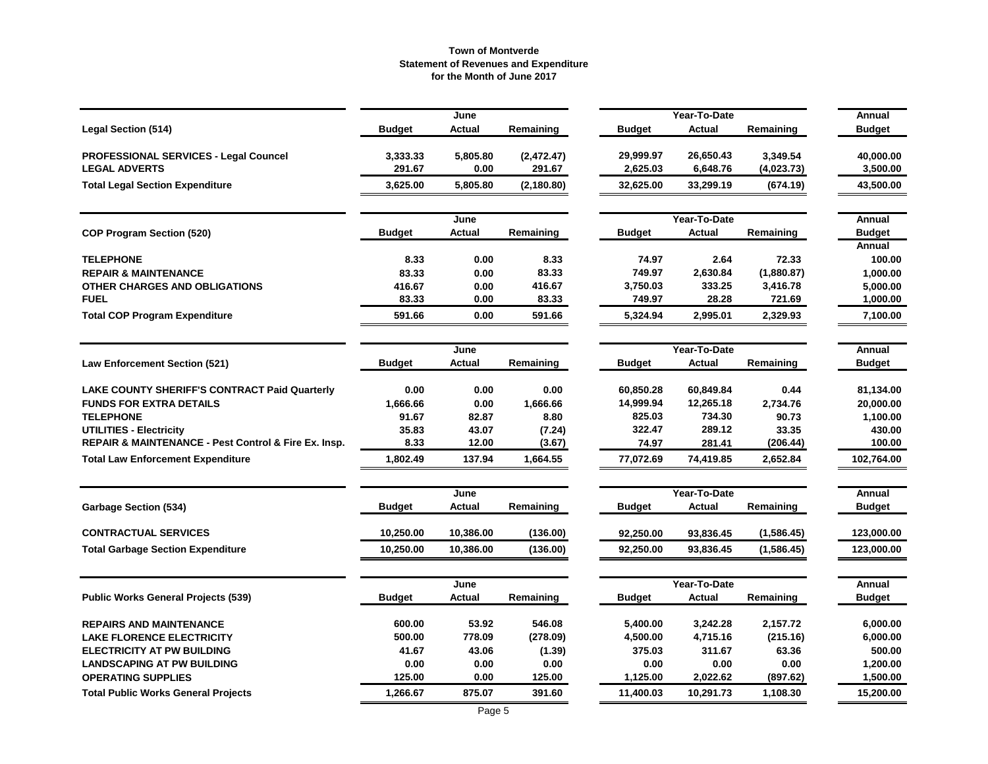|                                                      |               | June      |             |               | Year-To-Date  |            | Annual        |
|------------------------------------------------------|---------------|-----------|-------------|---------------|---------------|------------|---------------|
| <b>Legal Section (514)</b>                           | <b>Budget</b> | Actual    | Remaining   | <b>Budget</b> | <b>Actual</b> | Remaining  | <b>Budget</b> |
| <b>PROFESSIONAL SERVICES - Legal Councel</b>         | 3,333.33      | 5,805.80  | (2,472.47)  | 29,999.97     | 26,650.43     | 3,349.54   | 40,000.00     |
| <b>LEGAL ADVERTS</b>                                 | 291.67        | 0.00      | 291.67      | 2,625.03      | 6,648.76      | (4,023.73) | 3,500.00      |
| <b>Total Legal Section Expenditure</b>               | 3,625.00      | 5,805.80  | (2, 180.80) | 32,625.00     | 33,299.19     | (674.19)   | 43,500.00     |
|                                                      |               | June      |             |               | Year-To-Date  |            | Annual        |
| <b>COP Program Section (520)</b>                     | <b>Budget</b> | Actual    | Remaining   | <b>Budget</b> | <b>Actual</b> | Remaining  | <b>Budget</b> |
|                                                      |               |           |             |               |               |            | Annual        |
| <b>TELEPHONE</b>                                     | 8.33          | 0.00      | 8.33        | 74.97         | 2.64          | 72.33      | 100.00        |
| <b>REPAIR &amp; MAINTENANCE</b>                      | 83.33         | 0.00      | 83.33       | 749.97        | 2,630.84      | (1,880.87) | 1,000.00      |
| OTHER CHARGES AND OBLIGATIONS                        | 416.67        | 0.00      | 416.67      | 3,750.03      | 333.25        | 3,416.78   | 5,000.00      |
| <b>FUEL</b>                                          | 83.33         | 0.00      | 83.33       | 749.97        | 28.28         | 721.69     | 1,000.00      |
| <b>Total COP Program Expenditure</b>                 | 591.66        | 0.00      | 591.66      | 5,324.94      | 2,995.01      | 2,329.93   | 7,100.00      |
|                                                      |               | June      |             |               | Year-To-Date  |            | Annual        |
| <b>Law Enforcement Section (521)</b>                 | <b>Budget</b> | Actual    | Remaining   | <b>Budget</b> | <b>Actual</b> | Remaining  | <b>Budget</b> |
| <b>LAKE COUNTY SHERIFF'S CONTRACT Paid Quarterly</b> | 0.00          | 0.00      | 0.00        | 60,850.28     | 60,849.84     | 0.44       | 81,134.00     |
| <b>FUNDS FOR EXTRA DETAILS</b>                       | 1,666.66      | 0.00      | 1,666.66    | 14,999.94     | 12,265.18     | 2,734.76   | 20,000.00     |
| <b>TELEPHONE</b>                                     | 91.67         | 82.87     | 8.80        | 825.03        | 734.30        | 90.73      | 1,100.00      |
| <b>UTILITIES - Electricity</b>                       | 35.83         | 43.07     | (7.24)      | 322.47        | 289.12        | 33.35      | 430.00        |
| REPAIR & MAINTENANCE - Pest Control & Fire Ex. Insp. | 8.33          | 12.00     | (3.67)      | 74.97         | 281.41        | (206.44)   | 100.00        |
| <b>Total Law Enforcement Expenditure</b>             | 1,802.49      | 137.94    | 1,664.55    | 77,072.69     | 74,419.85     | 2,652.84   | 102,764.00    |
|                                                      |               | June      |             |               | Year-To-Date  |            | Annual        |
| <b>Garbage Section (534)</b>                         | <b>Budget</b> | Actual    | Remaining   | <b>Budget</b> | Actual        | Remaining  | <b>Budget</b> |
| <b>CONTRACTUAL SERVICES</b>                          | 10,250.00     | 10,386.00 | (136.00)    | 92,250.00     | 93,836.45     | (1,586.45) | 123,000.00    |
| <b>Total Garbage Section Expenditure</b>             | 10,250.00     | 10,386.00 | (136.00)    | 92,250.00     | 93,836.45     | (1,586.45) | 123,000.00    |
|                                                      |               | June      |             |               | Year-To-Date  |            | Annual        |
| <b>Public Works General Projects (539)</b>           | <b>Budget</b> | Actual    | Remaining   | <b>Budget</b> | Actual        | Remaining  | <b>Budget</b> |
| <b>REPAIRS AND MAINTENANCE</b>                       | 600.00        | 53.92     | 546.08      | 5,400.00      | 3,242.28      | 2,157.72   | 6,000.00      |
| <b>LAKE FLORENCE ELECTRICITY</b>                     | 500.00        | 778.09    | (278.09)    | 4,500.00      | 4,715.16      | (215.16)   | 6,000.00      |
| <b>ELECTRICITY AT PW BUILDING</b>                    | 41.67         | 43.06     | (1.39)      | 375.03        | 311.67        | 63.36      | 500.00        |
| <b>LANDSCAPING AT PW BUILDING</b>                    | 0.00          | 0.00      | 0.00        | 0.00          | 0.00          | 0.00       | 1,200.00      |
| <b>OPERATING SUPPLIES</b>                            | 125.00        | 0.00      | 125.00      | 1,125.00      | 2,022.62      | (897.62)   | 1,500.00      |
| <b>Total Public Works General Projects</b>           | 1,266.67      | 875.07    | 391.60      | 11,400.03     | 10,291.73     | 1,108.30   | 15,200.00     |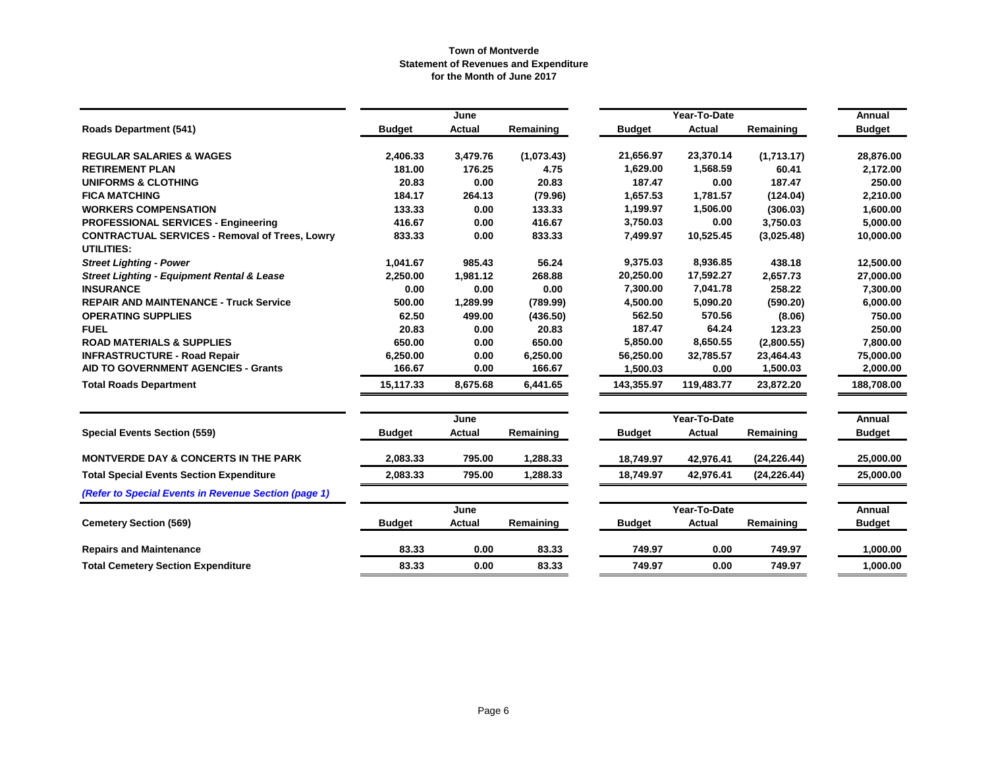|                                                                            |               | June          |            |               | Year-To-Date  |              | Annual        |
|----------------------------------------------------------------------------|---------------|---------------|------------|---------------|---------------|--------------|---------------|
| <b>Roads Department (541)</b>                                              | <b>Budget</b> | Actual        | Remaining  | <b>Budget</b> | <b>Actual</b> | Remaining    | <b>Budget</b> |
| <b>REGULAR SALARIES &amp; WAGES</b>                                        | 2,406.33      | 3,479.76      | (1,073.43) | 21,656.97     | 23,370.14     | (1,713.17)   | 28,876.00     |
| <b>RETIREMENT PLAN</b>                                                     | 181.00        | 176.25        | 4.75       | 1,629.00      | 1,568.59      | 60.41        | 2,172.00      |
| <b>UNIFORMS &amp; CLOTHING</b>                                             | 20.83         | 0.00          | 20.83      | 187.47        | 0.00          | 187.47       | 250.00        |
| <b>FICA MATCHING</b>                                                       | 184.17        | 264.13        | (79.96)    | 1,657.53      | 1,781.57      | (124.04)     | 2,210.00      |
| <b>WORKERS COMPENSATION</b>                                                | 133.33        | 0.00          | 133.33     | 1,199.97      | 1,506.00      | (306.03)     | 1,600.00      |
| <b>PROFESSIONAL SERVICES - Engineering</b>                                 | 416.67        | 0.00          | 416.67     | 3,750.03      | 0.00          | 3,750.03     | 5,000.00      |
| <b>CONTRACTUAL SERVICES - Removal of Trees, Lowry</b><br><b>UTILITIES:</b> | 833.33        | 0.00          | 833.33     | 7,499.97      | 10,525.45     | (3,025.48)   | 10,000.00     |
| <b>Street Lighting - Power</b>                                             | 1,041.67      | 985.43        | 56.24      | 9,375.03      | 8,936.85      | 438.18       | 12,500.00     |
| <b>Street Lighting - Equipment Rental &amp; Lease</b>                      | 2,250.00      | 1,981.12      | 268.88     | 20,250.00     | 17,592.27     | 2,657.73     | 27,000.00     |
| <b>INSURANCE</b>                                                           | 0.00          | 0.00          | 0.00       | 7,300.00      | 7,041.78      | 258.22       | 7,300.00      |
| <b>REPAIR AND MAINTENANCE - Truck Service</b>                              | 500.00        | 1,289.99      | (789.99)   | 4,500.00      | 5,090.20      | (590.20)     | 6,000.00      |
| <b>OPERATING SUPPLIES</b>                                                  | 62.50         | 499.00        | (436.50)   | 562.50        | 570.56        | (8.06)       | 750.00        |
| <b>FUEL</b>                                                                | 20.83         | 0.00          | 20.83      | 187.47        | 64.24         | 123.23       | 250.00        |
| <b>ROAD MATERIALS &amp; SUPPLIES</b>                                       | 650.00        | 0.00          | 650.00     | 5,850.00      | 8,650.55      | (2,800.55)   | 7,800.00      |
| <b>INFRASTRUCTURE - Road Repair</b>                                        | 6,250.00      | 0.00          | 6,250.00   | 56,250.00     | 32,785.57     | 23,464.43    | 75,000.00     |
| <b>AID TO GOVERNMENT AGENCIES - Grants</b>                                 | 166.67        | 0.00          | 166.67     | 1,500.03      | 0.00          | 1,500.03     | 2,000.00      |
| <b>Total Roads Department</b>                                              | 15,117.33     | 8,675.68      | 6,441.65   | 143,355.97    | 119,483.77    | 23,872.20    | 188,708.00    |
|                                                                            |               | June          |            |               | Year-To-Date  |              | Annual        |
| <b>Special Events Section (559)</b>                                        | <b>Budget</b> | Actual        | Remaining  | <b>Budget</b> | <b>Actual</b> | Remaining    | <b>Budget</b> |
| <b>MONTVERDE DAY &amp; CONCERTS IN THE PARK</b>                            | 2,083.33      | 795.00        | 1,288.33   | 18,749.97     | 42,976.41     | (24, 226.44) | 25,000.00     |
| <b>Total Special Events Section Expenditure</b>                            | 2,083.33      | 795.00        | 1,288.33   | 18,749.97     | 42,976.41     | (24, 226.44) | 25,000.00     |
| (Refer to Special Events in Revenue Section (page 1)                       |               |               |            |               |               |              |               |
|                                                                            |               | June          |            |               | Year-To-Date  |              | Annual        |
| <b>Cemetery Section (569)</b>                                              | <b>Budget</b> | <b>Actual</b> | Remaining  | <b>Budget</b> | Actual        | Remaining    | <b>Budget</b> |
| <b>Repairs and Maintenance</b>                                             | 83.33         | 0.00          | 83.33      | 749.97        | 0.00          | 749.97       | 1,000.00      |
| <b>Total Cemetery Section Expenditure</b>                                  | 83.33         | 0.00          | 83.33      | 749.97        | 0.00          | 749.97       | 1,000.00      |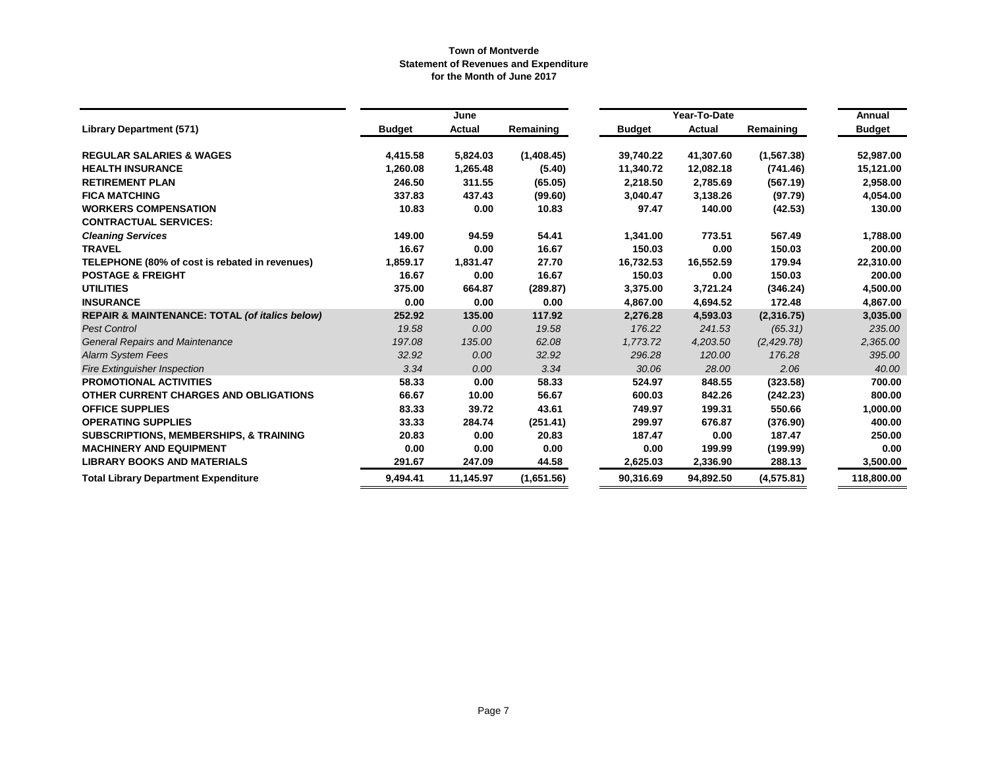|                                                   |               | June      |            |               | Annual                 |             |               |
|---------------------------------------------------|---------------|-----------|------------|---------------|------------------------|-------------|---------------|
| <b>Library Department (571)</b>                   | <b>Budget</b> | Actual    | Remaining  | <b>Budget</b> | Year-To-Date<br>Actual | Remaining   | <b>Budget</b> |
| <b>REGULAR SALARIES &amp; WAGES</b>               | 4,415.58      | 5,824.03  | (1,408.45) | 39,740.22     | 41,307.60              | (1, 567.38) | 52,987.00     |
| <b>HEALTH INSURANCE</b>                           | 1,260.08      | 1,265.48  | (5.40)     | 11,340.72     | 12,082.18              | (741.46)    | 15,121.00     |
| <b>RETIREMENT PLAN</b>                            | 246.50        | 311.55    | (65.05)    | 2,218.50      | 2,785.69               | (567.19)    | 2,958.00      |
| <b>FICA MATCHING</b>                              | 337.83        | 437.43    | (99.60)    | 3,040.47      | 3,138.26               | (97.79)     | 4,054.00      |
| <b>WORKERS COMPENSATION</b>                       | 10.83         | 0.00      | 10.83      | 97.47         | 140.00                 | (42.53)     | 130.00        |
| <b>CONTRACTUAL SERVICES:</b>                      |               |           |            |               |                        |             |               |
| <b>Cleaning Services</b>                          | 149.00        | 94.59     | 54.41      | 1,341.00      | 773.51                 | 567.49      | 1,788.00      |
| <b>TRAVEL</b>                                     | 16.67         | 0.00      | 16.67      | 150.03        | 0.00                   | 150.03      | 200.00        |
| TELEPHONE (80% of cost is rebated in revenues)    | 1,859.17      | 1,831.47  | 27.70      | 16,732.53     | 16,552.59              | 179.94      | 22,310.00     |
| <b>POSTAGE &amp; FREIGHT</b>                      | 16.67         | 0.00      | 16.67      | 150.03        | 0.00                   | 150.03      | 200.00        |
| <b>UTILITIES</b>                                  | 375.00        | 664.87    | (289.87)   | 3,375.00      | 3,721.24               | (346.24)    | 4,500.00      |
| <b>INSURANCE</b>                                  | 0.00          | 0.00      | 0.00       | 4,867.00      | 4,694.52               | 172.48      | 4,867.00      |
| REPAIR & MAINTENANCE: TOTAL (of italics below)    | 252.92        | 135.00    | 117.92     | 2,276.28      | 4,593.03               | (2,316.75)  | 3,035.00      |
| <b>Pest Control</b>                               | 19.58         | 0.00      | 19.58      | 176.22        | 241.53                 | (65.31)     | 235.00        |
| <b>General Repairs and Maintenance</b>            | 197.08        | 135.00    | 62.08      | 1,773.72      | 4,203.50               | (2, 429.78) | 2,365.00      |
| <b>Alarm System Fees</b>                          | 32.92         | 0.00      | 32.92      | 296.28        | 120.00                 | 176.28      | 395.00        |
| <b>Fire Extinguisher Inspection</b>               | 3.34          | 0.00      | 3.34       | 30.06         | 28.00                  | 2.06        | 40.00         |
| <b>PROMOTIONAL ACTIVITIES</b>                     | 58.33         | 0.00      | 58.33      | 524.97        | 848.55                 | (323.58)    | 700.00        |
| OTHER CURRENT CHARGES AND OBLIGATIONS             | 66.67         | 10.00     | 56.67      | 600.03        | 842.26                 | (242.23)    | 800.00        |
| <b>OFFICE SUPPLIES</b>                            | 83.33         | 39.72     | 43.61      | 749.97        | 199.31                 | 550.66      | 1,000.00      |
| <b>OPERATING SUPPLIES</b>                         | 33.33         | 284.74    | (251.41)   | 299.97        | 676.87                 | (376.90)    | 400.00        |
| <b>SUBSCRIPTIONS, MEMBERSHIPS, &amp; TRAINING</b> | 20.83         | 0.00      | 20.83      | 187.47        | 0.00                   | 187.47      | 250.00        |
| <b>MACHINERY AND EQUIPMENT</b>                    | 0.00          | 0.00      | 0.00       | 0.00          | 199.99                 | (199.99)    | 0.00          |
| <b>LIBRARY BOOKS AND MATERIALS</b>                | 291.67        | 247.09    | 44.58      | 2,625.03      | 2,336.90               | 288.13      | 3,500.00      |
| <b>Total Library Department Expenditure</b>       | 9,494.41      | 11,145.97 | (1,651.56) | 90,316.69     | 94,892.50              | (4,575.81)  | 118,800.00    |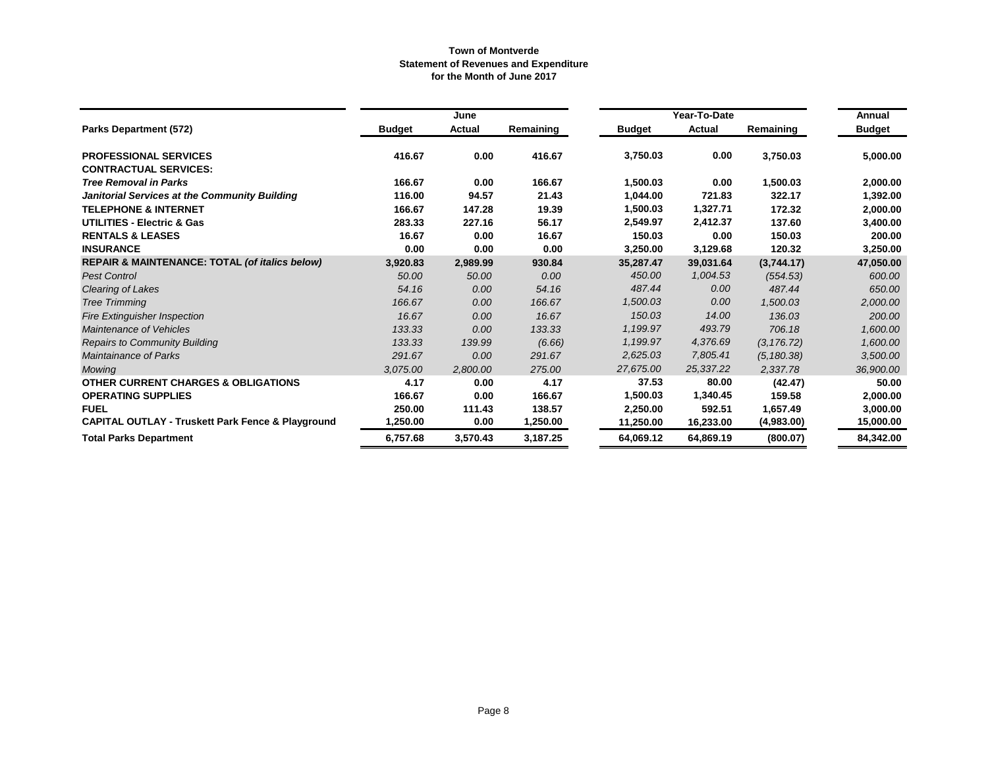|                                                              |               | June     |           |               | Year-To-Date |             | Annual        |
|--------------------------------------------------------------|---------------|----------|-----------|---------------|--------------|-------------|---------------|
| <b>Parks Department (572)</b>                                | <b>Budget</b> | Actual   | Remaining | <b>Budget</b> | Actual       | Remaining   | <b>Budget</b> |
| <b>PROFESSIONAL SERVICES</b>                                 | 416.67        | 0.00     | 416.67    | 3,750.03      | 0.00         | 3,750.03    | 5,000.00      |
| <b>CONTRACTUAL SERVICES:</b>                                 |               |          |           |               |              |             |               |
| <b>Tree Removal in Parks</b>                                 | 166.67        | 0.00     | 166.67    | 1,500.03      | 0.00         | 1,500.03    | 2,000.00      |
| Janitorial Services at the Community Building                | 116.00        | 94.57    | 21.43     | 1,044.00      | 721.83       | 322.17      | 1,392.00      |
| <b>TELEPHONE &amp; INTERNET</b>                              | 166.67        | 147.28   | 19.39     | 1,500.03      | 1,327.71     | 172.32      | 2,000.00      |
| <b>UTILITIES - Electric &amp; Gas</b>                        | 283.33        | 227.16   | 56.17     | 2,549.97      | 2,412.37     | 137.60      | 3,400.00      |
| <b>RENTALS &amp; LEASES</b>                                  | 16.67         | 0.00     | 16.67     | 150.03        | 0.00         | 150.03      | 200.00        |
| <b>INSURANCE</b>                                             | 0.00          | 0.00     | 0.00      | 3,250.00      | 3,129.68     | 120.32      | 3,250.00      |
| <b>REPAIR &amp; MAINTENANCE: TOTAL (of italics below)</b>    | 3,920.83      | 2,989.99 | 930.84    | 35,287.47     | 39,031.64    | (3,744.17)  | 47,050.00     |
| <b>Pest Control</b>                                          | 50.00         | 50.00    | 0.00      | 450.00        | 1,004.53     | (554.53)    | 600.00        |
| Clearing of Lakes                                            | 54.16         | 0.00     | 54.16     | 487.44        | 0.00         | 487.44      | 650.00        |
| <b>Tree Trimming</b>                                         | 166.67        | 0.00     | 166.67    | 1,500.03      | 0.00         | 1,500.03    | 2,000.00      |
| <b>Fire Extinguisher Inspection</b>                          | 16.67         | 0.00     | 16.67     | 150.03        | 14.00        | 136.03      | 200.00        |
| Maintenance of Vehicles                                      | 133.33        | 0.00     | 133.33    | 1,199.97      | 493.79       | 706.18      | 1,600.00      |
| <b>Repairs to Community Building</b>                         | 133.33        | 139.99   | (6.66)    | 1,199.97      | 4,376.69     | (3, 176.72) | 1,600.00      |
| <b>Maintainance of Parks</b>                                 | 291.67        | 0.00     | 291.67    | 2,625.03      | 7,805.41     | (5, 180.38) | 3,500.00      |
| Mowing                                                       | 3,075.00      | 2,800.00 | 275.00    | 27,675.00     | 25,337.22    | 2,337.78    | 36,900.00     |
| <b>OTHER CURRENT CHARGES &amp; OBLIGATIONS</b>               | 4.17          | 0.00     | 4.17      | 37.53         | 80.00        | (42.47)     | 50.00         |
| <b>OPERATING SUPPLIES</b>                                    | 166.67        | 0.00     | 166.67    | 1,500.03      | 1,340.45     | 159.58      | 2,000.00      |
| <b>FUEL</b>                                                  | 250.00        | 111.43   | 138.57    | 2,250.00      | 592.51       | 1,657.49    | 3,000.00      |
| <b>CAPITAL OUTLAY - Truskett Park Fence &amp; Playground</b> | 1,250.00      | 0.00     | 1,250.00  | 11,250.00     | 16,233.00    | (4,983.00)  | 15,000.00     |
| <b>Total Parks Department</b>                                | 6,757.68      | 3,570.43 | 3,187.25  | 64,069.12     | 64,869.19    | (800.07)    | 84,342.00     |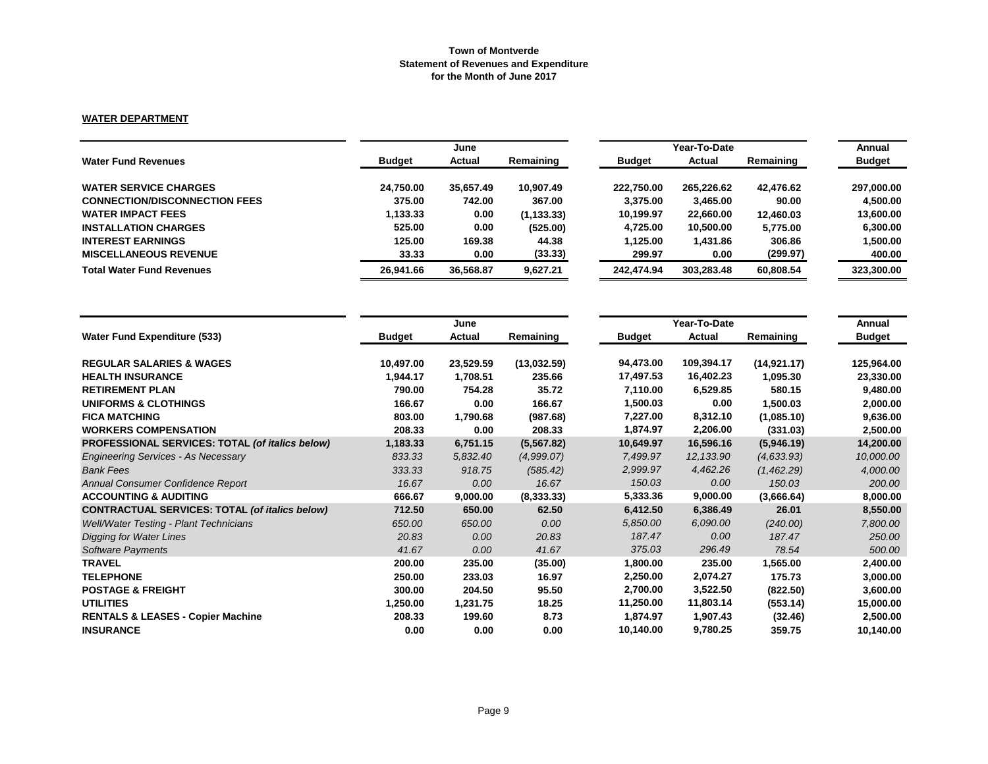## **WATER DEPARTMENT**

|                                      |               | June      |             |               | Year-To-Date |           | Annual        |
|--------------------------------------|---------------|-----------|-------------|---------------|--------------|-----------|---------------|
| <b>Water Fund Revenues</b>           | <b>Budget</b> | Actual    | Remaining   | <b>Budget</b> | Actual       | Remaining | <b>Budget</b> |
| <b>WATER SERVICE CHARGES</b>         | 24.750.00     | 35.657.49 | 10.907.49   | 222.750.00    | 265,226.62   | 42.476.62 | 297,000.00    |
| <b>CONNECTION/DISCONNECTION FEES</b> | 375.00        | 742.00    | 367.00      | 3.375.00      | 3,465.00     | 90.00     | 4.500.00      |
| <b>WATER IMPACT FEES</b>             | 1,133.33      | 0.00      | (1, 133.33) | 10.199.97     | 22,660.00    | 12,460.03 | 13,600.00     |
| <b>INSTALLATION CHARGES</b>          | 525.00        | 0.00      | (525.00)    | 4.725.00      | 10.500.00    | 5.775.00  | 6.300.00      |
| <b>INTEREST EARNINGS</b>             | 125.00        | 169.38    | 44.38       | 1.125.00      | 1,431.86     | 306.86    | 1,500.00      |
| <b>MISCELLANEOUS REVENUE</b>         | 33.33         | 0.00      | (33.33)     | 299.97        | 0.00         | (299.97)  | 400.00        |
| <b>Total Water Fund Revenues</b>     | 26,941.66     | 36.568.87 | 9.627.21    | 242.474.94    | 303.283.48   | 60,808.54 | 323,300.00    |

|                                                       |               | June      |             |               | Annual     |             |               |
|-------------------------------------------------------|---------------|-----------|-------------|---------------|------------|-------------|---------------|
| <b>Water Fund Expenditure (533)</b>                   | <b>Budget</b> | Actual    | Remaining   | <b>Budget</b> | Actual     | Remaining   | <b>Budget</b> |
| <b>REGULAR SALARIES &amp; WAGES</b>                   | 10,497.00     | 23,529.59 | (13,032.59) | 94,473.00     | 109,394.17 | (14.921.17) | 125,964.00    |
| <b>HEALTH INSURANCE</b>                               | 1,944.17      | 1,708.51  | 235.66      | 17,497.53     | 16,402.23  | 1,095.30    | 23,330.00     |
| <b>RETIREMENT PLAN</b>                                | 790.00        | 754.28    | 35.72       | 7,110.00      | 6,529.85   | 580.15      | 9,480.00      |
| UNIFORMS & CLOTHINGS                                  | 166.67        | 0.00      | 166.67      | 1,500.03      | 0.00       | 1,500.03    | 2,000.00      |
| <b>FICA MATCHING</b>                                  | 803.00        | 1,790.68  | (987.68)    | 7,227.00      | 8,312.10   | (1,085.10)  | 9,636.00      |
| <b>WORKERS COMPENSATION</b>                           | 208.33        | 0.00      | 208.33      | 1,874.97      | 2,206.00   | (331.03)    | 2,500.00      |
| PROFESSIONAL SERVICES: TOTAL (of italics below)       | 1,183.33      | 6,751.15  | (5, 567.82) | 10,649.97     | 16,596.16  | (5,946.19)  | 14,200.00     |
| <b>Engineering Services - As Necessary</b>            | 833.33        | 5,832.40  | (4,999.07)  | 7,499.97      | 12, 133.90 | (4, 633.93) | 10,000.00     |
| <b>Bank Fees</b>                                      | 333.33        | 918.75    | (585.42)    | 2,999.97      | 4,462.26   | (1,462.29)  | 4,000.00      |
| Annual Consumer Confidence Report                     | 16.67         | 0.00      | 16.67       | 150.03        | 0.00       | 150.03      | 200.00        |
| <b>ACCOUNTING &amp; AUDITING</b>                      | 666.67        | 9,000.00  | (8,333.33)  | 5,333.36      | 9,000.00   | (3,666.64)  | 8,000.00      |
| <b>CONTRACTUAL SERVICES: TOTAL (of italics below)</b> | 712.50        | 650.00    | 62.50       | 6,412.50      | 6,386.49   | 26.01       | 8,550.00      |
| <b>Well/Water Testing - Plant Technicians</b>         | 650.00        | 650.00    | 0.00        | 5,850.00      | 6,090.00   | (240.00)    | 7,800.00      |
| Digging for Water Lines                               | 20.83         | 0.00      | 20.83       | 187.47        | 0.00       | 187.47      | 250.00        |
| <b>Software Payments</b>                              | 41.67         | 0.00      | 41.67       | 375.03        | 296.49     | 78.54       | 500.00        |
| <b>TRAVEL</b>                                         | 200.00        | 235.00    | (35.00)     | 1,800.00      | 235.00     | 1,565.00    | 2,400.00      |
| <b>TELEPHONE</b>                                      | 250.00        | 233.03    | 16.97       | 2,250.00      | 2,074.27   | 175.73      | 3,000.00      |
| <b>POSTAGE &amp; FREIGHT</b>                          | 300.00        | 204.50    | 95.50       | 2,700.00      | 3,522.50   | (822.50)    | 3,600.00      |
| <b>UTILITIES</b>                                      | 1,250.00      | 1,231.75  | 18.25       | 11,250.00     | 11,803.14  | (553.14)    | 15,000.00     |
| <b>RENTALS &amp; LEASES - Copier Machine</b>          | 208.33        | 199.60    | 8.73        | 1,874.97      | 1,907.43   | (32.46)     | 2,500.00      |
| <b>INSURANCE</b>                                      | 0.00          | 0.00      | 0.00        | 10,140.00     | 9,780.25   | 359.75      | 10,140.00     |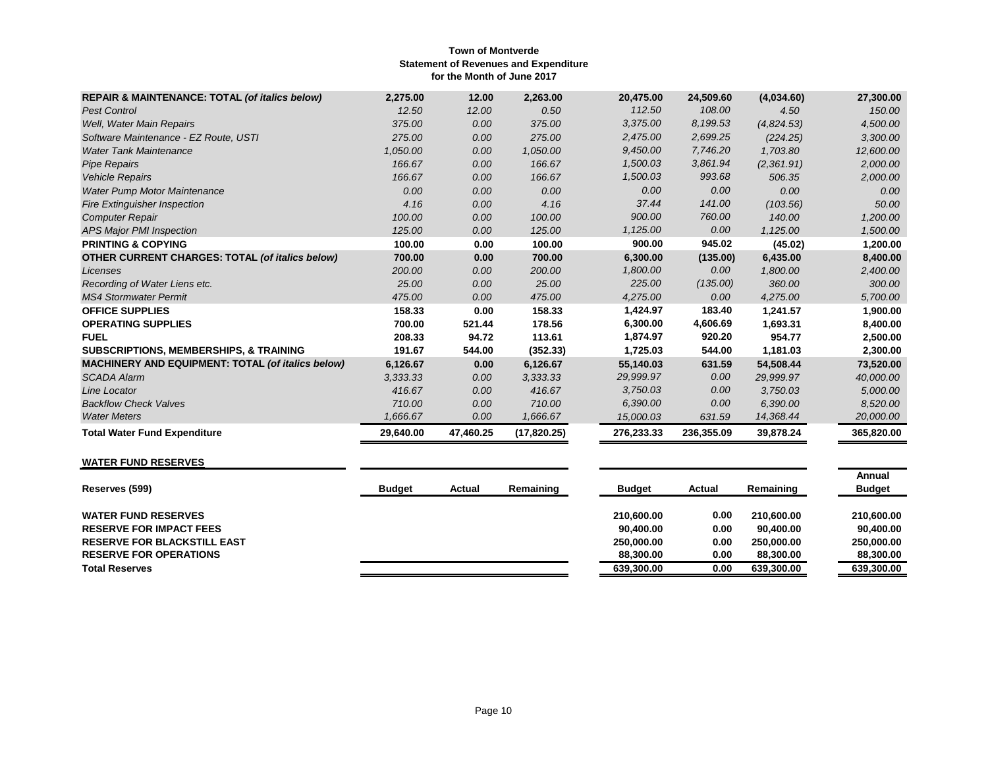| <b>REPAIR &amp; MAINTENANCE: TOTAL (of italics below)</b> | 2,275.00  | 12.00     | 2,263.00     | 20,475.00  | 24,509.60  | (4,034.60) | 27,300.00  |
|-----------------------------------------------------------|-----------|-----------|--------------|------------|------------|------------|------------|
| <b>Pest Control</b>                                       | 12.50     | 12.00     | 0.50         | 112.50     | 108.00     | 4.50       | 150.00     |
| Well, Water Main Repairs                                  | 375.00    | 0.00      | 375.00       | 3,375.00   | 8,199.53   | (4,824.53) | 4,500.00   |
| Software Maintenance - EZ Route, USTI                     | 275.00    | 0.00      | 275.00       | 2,475.00   | 2,699.25   | (224.25)   | 3,300.00   |
| <b>Water Tank Maintenance</b>                             | 1,050.00  | 0.00      | 1,050.00     | 9,450.00   | 7,746.20   | 1,703.80   | 12,600.00  |
| <b>Pipe Repairs</b>                                       | 166.67    | 0.00      | 166.67       | 1,500.03   | 3,861.94   | (2,361.91) | 2,000.00   |
| <b>Vehicle Repairs</b>                                    | 166.67    | 0.00      | 166.67       | 1,500.03   | 993.68     | 506.35     | 2,000.00   |
| Water Pump Motor Maintenance                              | 0.00      | 0.00      | 0.00         | 0.00       | 0.00       | 0.00       | 0.00       |
| <b>Fire Extinguisher Inspection</b>                       | 4.16      | 0.00      | 4.16         | 37.44      | 141.00     | (103.56)   | 50.00      |
| <b>Computer Repair</b>                                    | 100.00    | 0.00      | 100.00       | 900.00     | 760.00     | 140.00     | 1,200.00   |
| <b>APS Major PMI Inspection</b>                           | 125.00    | 0.00      | 125.00       | 1,125.00   | 0.00       | 1,125.00   | 1,500.00   |
| <b>PRINTING &amp; COPYING</b>                             | 100.00    | 0.00      | 100.00       | 900.00     | 945.02     | (45.02)    | 1,200.00   |
| <b>OTHER CURRENT CHARGES: TOTAL (of italics below)</b>    | 700.00    | 0.00      | 700.00       | 6,300.00   | (135.00)   | 6,435.00   | 8,400.00   |
| Licenses                                                  | 200.00    | 0.00      | 200.00       | 1,800.00   | 0.00       | 1,800.00   | 2,400.00   |
| Recording of Water Liens etc.                             | 25.00     | 0.00      | 25.00        | 225.00     | (135.00)   | 360.00     | 300.00     |
| <b>MS4 Stormwater Permit</b>                              | 475.00    | 0.00      | 475.00       | 4,275.00   | 0.00       | 4,275.00   | 5,700.00   |
| <b>OFFICE SUPPLIES</b>                                    | 158.33    | 0.00      | 158.33       | 1,424.97   | 183.40     | 1,241.57   | 1,900.00   |
| <b>OPERATING SUPPLIES</b>                                 | 700.00    | 521.44    | 178.56       | 6,300.00   | 4,606.69   | 1,693.31   | 8,400.00   |
| <b>FUEL</b>                                               | 208.33    | 94.72     | 113.61       | 1,874.97   | 920.20     | 954.77     | 2,500.00   |
| <b>SUBSCRIPTIONS, MEMBERSHIPS, &amp; TRAINING</b>         | 191.67    | 544.00    | (352.33)     | 1,725.03   | 544.00     | 1,181.03   | 2,300.00   |
| MACHINERY AND EQUIPMENT: TOTAL (of italics below)         | 6,126.67  | 0.00      | 6,126.67     | 55,140.03  | 631.59     | 54,508.44  | 73,520.00  |
| <b>SCADA Alarm</b>                                        | 3.333.33  | 0.00      | 3,333.33     | 29,999.97  | 0.00       | 29,999.97  | 40,000.00  |
| Line Locator                                              | 416.67    | 0.00      | 416.67       | 3,750.03   | 0.00       | 3,750.03   | 5,000.00   |
| <b>Backflow Check Valves</b>                              | 710.00    | 0.00      | 710.00       | 6,390.00   | 0.00       | 6,390.00   | 8,520.00   |
| <b>Water Meters</b>                                       | 1,666.67  | 0.00      | 1,666.67     | 15,000.03  | 631.59     | 14,368.44  | 20,000.00  |
| <b>Total Water Fund Expenditure</b>                       | 29,640.00 | 47,460.25 | (17, 820.25) | 276,233.33 | 236,355.09 | 39,878.24  | 365,820.00 |

# **WATER FUND RESERVES**

| Reserves (599)                     | <b>Budget</b> | Actual | Remaining | <b>Budget</b> | Actual | Remaining  | Annual<br><b>Budget</b> |
|------------------------------------|---------------|--------|-----------|---------------|--------|------------|-------------------------|
| <b>WATER FUND RESERVES</b>         |               |        |           | 210.600.00    | 0.00   | 210.600.00 | 210,600,00              |
| <b>RESERVE FOR IMPACT FEES</b>     |               |        |           | 90.400.00     | 0.00   | 90.400.00  | 90.400.00               |
| <b>RESERVE FOR BLACKSTILL EAST</b> |               |        |           | 250,000,00    | 0.00   | 250,000,00 | 250,000,00              |
| <b>RESERVE FOR OPERATIONS</b>      |               |        |           | 88,300,00     | 0.00   | 88,300,00  | 88,300,00               |
| <b>Total Reserves</b>              |               |        |           | 639.300.00    | 0.00   | 639,300.00 | 639.300.00              |
|                                    |               |        |           |               |        |            |                         |